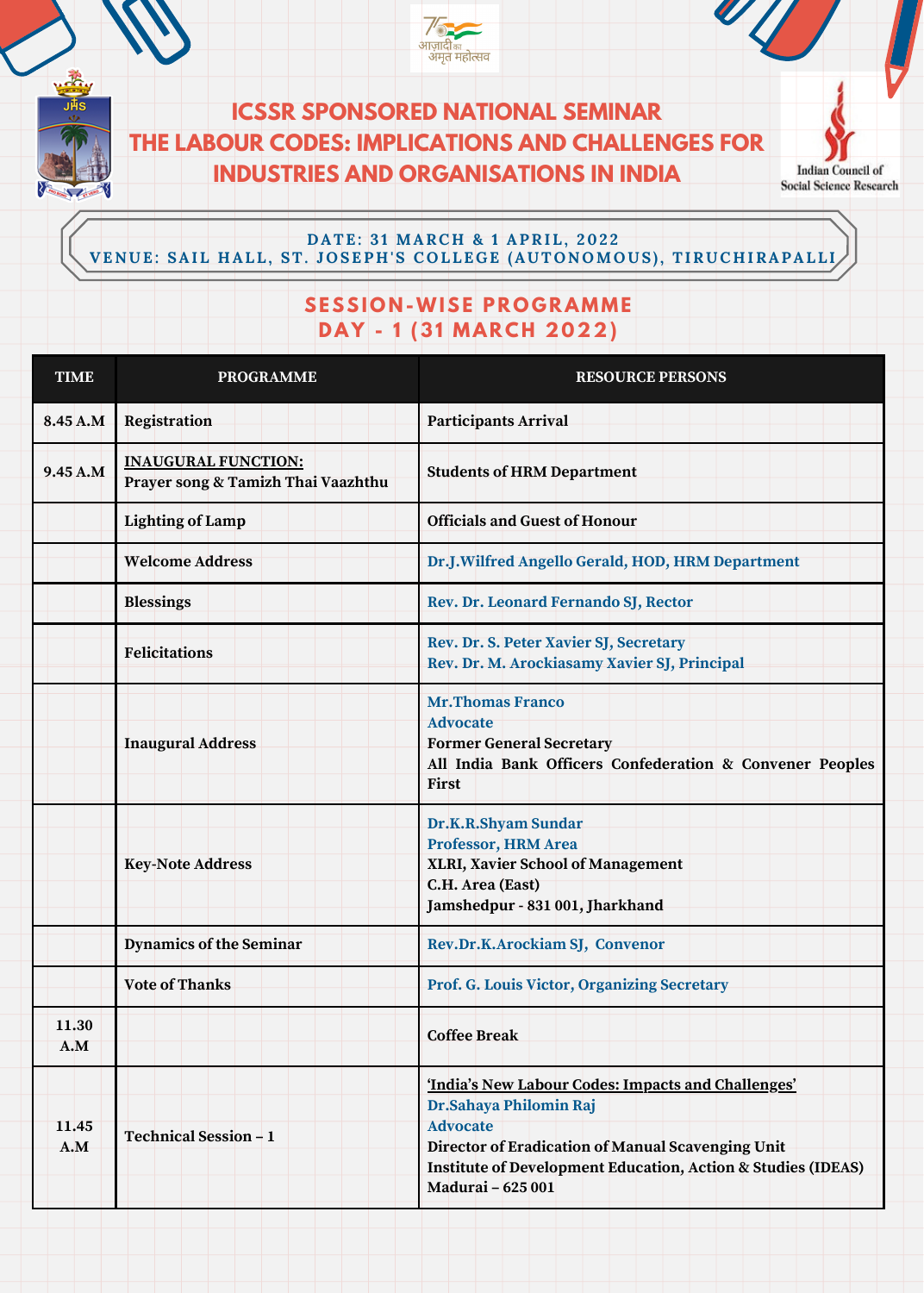**ICSSR SPONSORED NATIONAL SEMINAR THE LABOUR CODES: IMPLICATIONS AND CHALLENGES FOR INDUSTRIES AND ORGANISATIONS IN INDIA**

**Indian Council of Social Science Research** 

## **DATE: 3 1 MARC H & 1 APRIL, 202 2 V ENUE: SAIL H ALL, ST. JOSEP H ' S COLLEGE (AUTONOMOUS ) , TIRUC H IRAPALLI**

## **SESSI O N -WISE P R O G RAMME DAY - 1 (31 MARCH 2022)**

| <b>TIME</b>  | <b>PROGRAMME</b>                                                 | <b>RESOURCE PERSONS</b>                                                                                                                                                                                                                              |
|--------------|------------------------------------------------------------------|------------------------------------------------------------------------------------------------------------------------------------------------------------------------------------------------------------------------------------------------------|
| 8.45 A.M     | Registration                                                     | Participants Arrival                                                                                                                                                                                                                                 |
| 9.45A.M      | <b>INAUGURAL FUNCTION:</b><br>Prayer song & Tamizh Thai Vaazhthu | <b>Students of HRM Department</b>                                                                                                                                                                                                                    |
|              | Lighting of Lamp                                                 | <b>Officials and Guest of Honour</b>                                                                                                                                                                                                                 |
|              | <b>Welcome Address</b>                                           | Dr.J.Wilfred Angello Gerald, HOD, HRM Department                                                                                                                                                                                                     |
|              | <b>Blessings</b>                                                 | Rev. Dr. Leonard Fernando SJ, Rector                                                                                                                                                                                                                 |
|              | <b>Felicitations</b>                                             | Rev. Dr. S. Peter Xavier SJ, Secretary<br>Rev. Dr. M. Arockiasamy Xavier SJ, Principal                                                                                                                                                               |
|              | <b>Inaugural Address</b>                                         | <b>Mr.Thomas Franco</b><br><b>Advocate</b><br><b>Former General Secretary</b><br>All India Bank Officers Confederation & Convener Peoples<br>First                                                                                                   |
|              | <b>Key-Note Address</b>                                          | Dr.K.R.Shyam Sundar<br>Professor, HRM Area<br>XLRI, Xavier School of Management<br>C.H. Area (East)<br>Jamshedpur - 831 001, Jharkhand                                                                                                               |
|              | <b>Dynamics of the Seminar</b>                                   | Rev.Dr.K.Arockiam SJ, Convenor                                                                                                                                                                                                                       |
|              | Vote of Thanks                                                   | Prof. G. Louis Victor, Organizing Secretary                                                                                                                                                                                                          |
| 11.30<br>A.M |                                                                  | <b>Coffee Break</b>                                                                                                                                                                                                                                  |
| 11.45<br>A.M | Technical Session - 1                                            | 'India's New Labour Codes: Impacts and Challenges'<br>Dr.Sahaya Philomin Raj<br><b>Advocate</b><br>Director of Eradication of Manual Scavenging Unit<br><b>Institute of Development Education, Action &amp; Studies (IDEAS)</b><br>Madurai - 625 001 |